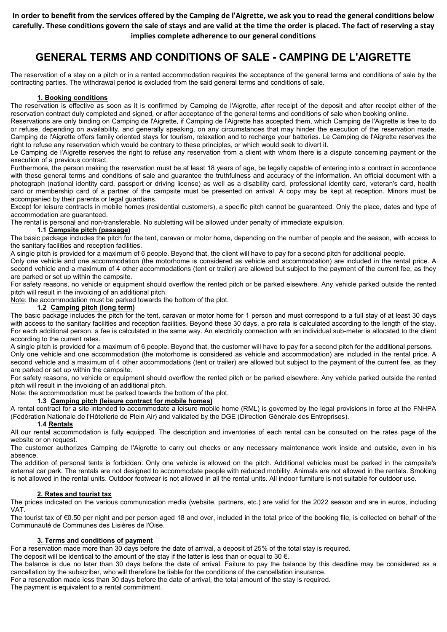In order to benefit from the services offered by the Camping de l'Aigrette, we ask you to read the general conditions below carefully. These conditions govern the sale of stays and are valid at the time the order is placed. The fact of reserving a stay implies complete adherence to our general conditions

# GENERAL TERMS AND CONDITIONS OF SALE - CAMPING DE L'AIGRETTE

The reservation of a stay on a pitch or in a rented accommodation requires the acceptance of the general terms and conditions of sale by the contracting parties. The withdrawal period is excluded from the said general terms and conditions of sale.

# 1. Booking conditions

The reservation is effective as soon as it is confirmed by Camping de l'Aigrette, after receipt of the deposit and after receipt either of the reservation contract duly completed and signed, or after acceptance of the general terms and conditions of sale when booking online.

Reservations are only binding on Camping de l'Aigrette, if Camping de l'Aigrette has accepted them, which Camping de l'Aigrette is free to do or refuse, depending on availability, and generally speaking, on any circumstances that may hinder the execution of the reservation made. Camping de l'Aigrette offers family oriented stays for tourism, relaxation and to recharge your batteries. Le Camping de l'Aigrette reserves the right to refuse any reservation which would be contrary to these principles, or which would seek to divert it.

Le Camping de l'Aigrette reserves the right to refuse any reservation from a client with whom there is a dispute concerning payment or the execution of a previous contract.

Furthermore, the person making the reservation must be at least 18 years of age, be legally capable of entering into a contract in accordance with these general terms and conditions of sale and guarantee the truthfulness and accuracy of the information. An official document with a photograph (national identity card, passport or driving license) as well as a disability card, professional identity card, veteran's card, health card or membership card of a partner of the campsite must be presented on arrival. A copy may be kept at reception. Minors must be accompanied by their parents or legal guardians.

Except for leisure contracts in mobile homes (residential customers), a specific pitch cannot be guaranteed. Only the place, dates and type of accommodation are guaranteed.

The rental is personal and non-transferable. No subletting will be allowed under penalty of immediate expulsion.

# 1.1 Campsite pitch (passage)

The basic package includes the pitch for the tent, caravan or motor home, depending on the number of people and the season, with access to the sanitary facilities and reception facilities.

A single pitch is provided for a maximum of 6 people. Beyond that, the client will have to pay for a second pitch for additional people.

Only one vehicle and one accommodation (the motorhome is considered as vehicle and accommodation) are included in the rental price. A second vehicle and a maximum of 4 other accommodations (tent or trailer) are allowed but subject to the payment of the current fee, as they are parked or set up within the campsite.

For safety reasons, no vehicle or equipment should overflow the rented pitch or be parked elsewhere. Any vehicle parked outside the rented pitch will result in the invoicing of an additional pitch.

Note: the accommodation must be parked towards the bottom of the plot.

# 1.2 Camping pitch (long term)

The basic package includes the pitch for the tent, caravan or motor home for 1 person and must correspond to a full stay of at least 30 days with access to the sanitary facilities and reception facilities. Beyond these 30 days, a pro rata is calculated according to the length of the stay. For each additional person, a fee is calculated in the same way. An electricity connection with an individual sub-meter is allocated to the client according to the current rates.

A single pitch is provided for a maximum of 6 people. Beyond that, the customer will have to pay for a second pitch for the additional persons. Only one vehicle and one accommodation (the motorhome is considered as vehicle and accommodation) are included in the rental price. A second vehicle and a maximum of 4 other accommodations (tent or trailer) are allowed but subject to the payment of the current fee, as they are parked or set up within the campsite.

For safety reasons, no vehicle or equipment should overflow the rented pitch or be parked elsewhere. Any vehicle parked outside the rented pitch will result in the invoicing of an additional pitch.

Note: the accommodation must be parked towards the bottom of the plot.

# 1.3 Camping pitch (leisure contract for mobile homes)

A rental contract for a site intended to accommodate a leisure mobile home (RML) is governed by the legal provisions in force at the FNHPA (Fédération Nationale de l'Hôtellerie de Plein Air) and validated by the DGE (Direction Générale des Entreprises).

# 1.4 Rentals

All our rental accommodation is fully equipped. The description and inventories of each rental can be consulted on the rates page of the website or on request.

The customer authorizes Camping de l'Aigrette to carry out checks or any necessary maintenance work inside and outside, even in his absence.

The addition of personal tents is forbidden. Only one vehicle is allowed on the pitch. Additional vehicles must be parked in the campsite's external car park. The rentals are not designed to accommodate people with reduced mobility. Animals are not allowed in the rentals. Smoking is not allowed in the rental units. Outdoor footwear is not allowed in all the rental units. All indoor furniture is not suitable for outdoor use.

# 2. Rates and tourist tax

The prices indicated on the various communication media (website, partners, etc.) are valid for the 2022 season and are in euros, including VAT.

The tourist tax of €0.50 per night and per person aged 18 and over, included in the total price of the booking file, is collected on behalf of the Communauté de Communes des Lisières de l'Oise.

# 3. Terms and conditions of payment

For a reservation made more than 30 days before the date of arrival, a deposit of 25% of the total stay is required.

The deposit will be identical to the amount of the stay if the latter is less than or equal to 30  $\epsilon$ .

The balance is due no later than 30 days before the date of arrival. Failure to pay the balance by this deadline may be considered as a cancellation by the subscriber, who will therefore be liable for the conditions of the cancellation insurance.

For a reservation made less than 30 days before the date of arrival, the total amount of the stay is required.

The payment is equivalent to a rental commitment.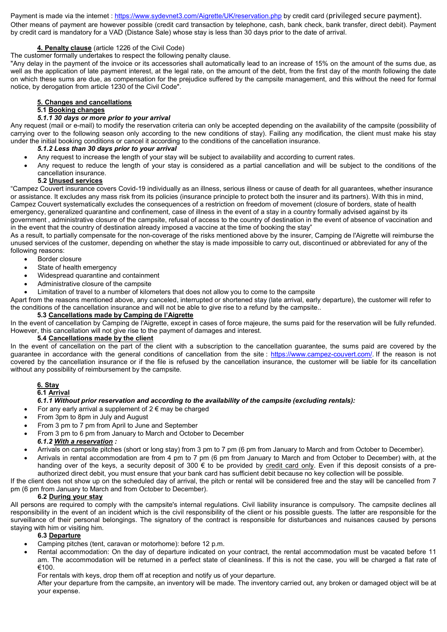Payment is made via the internet : https://www.sydevnet3.com/Aigrette/UK/reservation.php by credit card (privileged secure payment). Other means of payment are however possible (credit card transaction by telephone, cash, bank check, bank transfer, direct debit). Payment by credit card is mandatory for a VAD (Distance Sale) whose stay is less than 30 days prior to the date of arrival.

# 4. Penalty clause (article 1226 of the Civil Code)

The customer formally undertakes to respect the following penalty clause.

"Any delay in the payment of the invoice or its accessories shall automatically lead to an increase of 15% on the amount of the sums due, as well as the application of late payment interest, at the legal rate, on the amount of the debt, from the first day of the month following the date on which these sums are due, as compensation for the prejudice suffered by the campsite management, and this without the need for formal notice, by derogation from article 1230 of the Civil Code".

#### 5. Changes and cancellations

# 5.1 Booking changes

#### 5.1.1 30 days or more prior to your arrival

Any request (mail or e-mail) to modify the reservation criteria can only be accepted depending on the availability of the campsite (possibility of carrying over to the following season only according to the new conditions of stay). Failing any modification, the client must make his stay under the initial booking conditions or cancel it according to the conditions of the cancellation insurance.

#### 5.1.2 Less than 30 days prior to your arrival

- Any request to increase the length of your stay will be subject to availability and according to current rates.
- Any request to reduce the length of your stay is considered as a partial cancellation and will be subject to the conditions of the cancellation insurance.

#### 5.2 Unused services

"Campez Couvert insurance covers Covid-19 individually as an illness, serious illness or cause of death for all guarantees, whether insurance or assistance. It excludes any mass risk from its policies (insurance principle to protect both the insurer and its partners). With this in mind, Campez Couvert systematically excludes the consequences of a restriction on freedom of movement (closure of borders, state of health emergency, generalized quarantine and confinement, case of illness in the event of a stay in a country formally advised against by its

government , administrative closure of the campsite, refusal of access to the country of destination in the event of absence of vaccination and in the event that the country of destination already imposed a vaccine at the time of booking the stay"

As a result, to partially compensate for the non-coverage of the risks mentioned above by the insurer, Camping de l'Aigrette will reimburse the unused services of the customer, depending on whether the stay is made impossible to carry out, discontinued or abbreviated for any of the following reasons:

- Border closure
- State of health emergency
- Widespread quarantine and containment
- Administrative closure of the campsite

Limitation of travel to a number of kilometers that does not allow you to come to the campsite

Apart from the reasons mentioned above, any canceled, interrupted or shortened stay (late arrival, early departure), the customer will refer to the conditions of the cancellation insurance and will not be able to give rise to a refund by the campsite..

#### 5.3 Cancellations made by Camping de l'Aigrette

In the event of cancellation by Camping de l'Aigrette, except in cases of force majeure, the sums paid for the reservation will be fully refunded. However, this cancellation will not give rise to the payment of damages and interest.

#### 5.4 Cancellations made by the client

In the event of cancellation on the part of the client with a subscription to the cancellation guarantee, the sums paid are covered by the guarantee in accordance with the general conditions of cancellation from the site: https://www.campez-couvert.com/. If the reason is not covered by the cancellation insurance or if the file is refused by the cancellation insurance, the customer will be liable for its cancellation without any possibility of reimbursement by the campsite.

# 6. Stay

# 6.1 Arrival

# 6.1.1 Without prior reservation and according to the availability of the campsite (excluding rentals):

- For any early arrival a supplement of  $2 \in \text{may}$  be charged
- From 3pm to 8pm in July and August
- From 3 pm to 7 pm from April to June and September
- From 3 pm to 6 pm from January to March and October to December 6.1.2 With a reservation :
- Arrivals on campsite pitches (short or long stay) from 3 pm to 7 pm (6 pm from January to March and from October to December).
- Arrivals in rental accommodation are from 4 pm to 7 pm (6 pm from January to March and from October to December) with, at the handing over of the keys, a security deposit of 300 € to be provided by credit card only. Even if this deposit consists of a preauthorized direct debit, you must ensure that your bank card has sufficient debit because no key collection will be possible.

If the client does not show up on the scheduled day of arrival, the pitch or rental will be considered free and the stay will be cancelled from 7 pm (6 pm from January to March and from October to December).

#### 6.2 During your stay

All persons are required to comply with the campsite's internal regulations. Civil liability insurance is compulsory. The campsite declines all responsibility in the event of an incident which is the civil responsibility of the client or his possible guests. The latter are responsible for the surveillance of their personal belongings. The signatory of the contract is responsible for disturbances and nuisances caused by persons staying with him or visiting him.

#### 6.3 Departure

- Camping pitches (tent, caravan or motorhome): before 12 p.m.
- Rental accommodation: On the day of departure indicated on your contract, the rental accommodation must be vacated before 11 am. The accommodation will be returned in a perfect state of cleanliness. If this is not the case, you will be charged a flat rate of €100.

For rentals with keys, drop them off at reception and notify us of your departure.

After your departure from the campsite, an inventory will be made. The inventory carried out, any broken or damaged object will be at your expense.